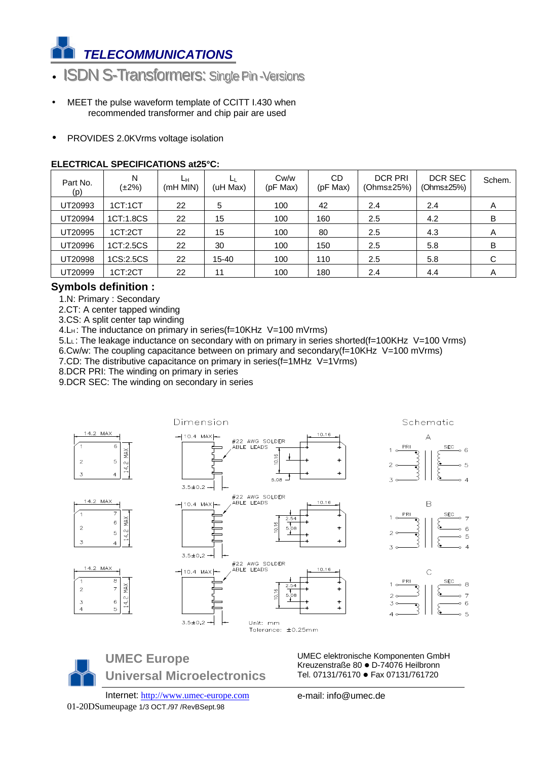

- ISDN S-Transformers: Single Pin-Versions
- MEET the pulse waveform template of CCITT I.430 when recommended transformer and chip pair are used
- PROVIDES 2.0KVrms voltage isolation

#### **ELECTRICAL SPECIFICATIONS at25°C:**

| Part No.<br>(p) | N<br>$(\pm 2\%)$ | Lн<br>(mH MIN) | ⊔<br>(uH Max) | Cw/w<br>(pF Max) | CD<br>(pF Max) | <b>DCR PRI</b><br>(Ohms±25%) | DCR SEC<br>(Ohms±25%) | Schem. |
|-----------------|------------------|----------------|---------------|------------------|----------------|------------------------------|-----------------------|--------|
| UT20993         | 1CT:1CT          | 22             | 5             | 100              | 42             | 2.4                          | 2.4                   | A      |
| UT20994         | 1CT:1.8CS        | 22             | 15            | 100              | 160            | 2.5                          | 4.2                   | B      |
| UT20995         | 1CT:2CT          | 22             | 15            | 100              | 80             | 2.5                          | 4.3                   | A      |
| UT20996         | 1CT:2.5CS        | 22             | 30            | 100              | 150            | 2.5                          | 5.8                   | в      |
| UT20998         | 1CS:2.5CS        | 22             | 15-40         | 100              | 110            | 2.5                          | 5.8                   | С      |
| UT20999         | 1CT:2CT          | 22             | 11            | 100              | 180            | 2.4                          | 4.4                   | A      |

### **Symbols definition :**

1.N: Primary : Secondary

2.CT: A center tapped winding

3.CS: A split center tap winding

4.LH: The inductance on primary in series(f=10KHz V=100 mVrms)

 5.L<sup>L</sup> : The leakage inductance on secondary with on primary in series shorted(f=100KHz V=100 Vrms) 6.Cw/w: The coupling capacitance between on primary and secondary(f=10KHz V=100 mVrms)

7.CD: The distributive capacitance on primary in series(f=1MHz V=1Vrms)

8.DCR PRI: The winding on primary in series

9.DCR SEC: The winding on secondary in series



**UMEC Europe Universal Microelectronics** UMEC elektronische Komponenten GmbH Kreuzenstraße 80 · D-74076 Heilbronn Tel. 07131/76170 · Fax 07131/761720

Internet: http://www.umec-europe.com e-mail: info@umec.de 01-20DSumeupage 1/3 OCT./97 /RevBSept.98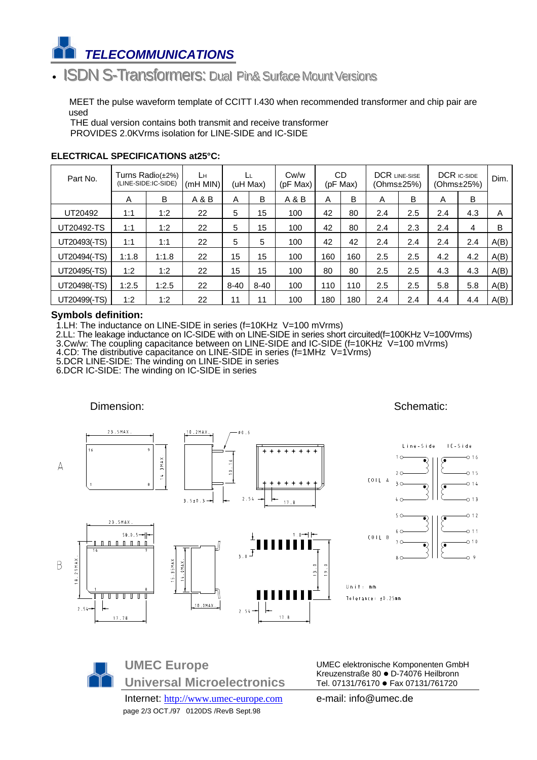

# • ISDN S-Transformers: Dual Pin& Surface Mount Versions

 MEET the pulse waveform template of CCITT I.430 when recommended transformer and chip pair are used

THE dual version contains both transmit and receive transformer PROVIDES 2.0KVrms isolation for LINE-SIDE and IC-SIDE

| Part No.     |       | Turns Radio(±2%)<br>(LINE-SIDE:IC-SIDE) | Lн<br>$(mH$ MIN $)$ |          | (uH Max) | Cw/w<br>(pF Max) |     | <b>CD</b><br>(pF Max) | <b>DCR LINE-SISE</b><br>(Ohms±25%) |     |     | <b>DCR IC-SIDE</b><br>(Ohms±25%) | Dim. |
|--------------|-------|-----------------------------------------|---------------------|----------|----------|------------------|-----|-----------------------|------------------------------------|-----|-----|----------------------------------|------|
|              | Α     | B                                       | A & B               | A        | B        | A&B              | A   | B                     | A                                  | B   | A   | B                                |      |
| UT20492      | 1:1   | 1:2                                     | 22                  | 5        | 15       | 100              | 42  | 80                    | 2.4                                | 2.5 | 2.4 | 4.3                              | A    |
| UT20492-TS   | 1:1   | 1:2                                     | 22                  | 5        | 15       | 100              | 42  | 80                    | 2.4                                | 2.3 | 2.4 | 4                                | B    |
| UT20493(-TS) | 1:1   | 1:1                                     | 22                  | 5        | 5        | 100              | 42  | 42                    | 2.4                                | 2.4 | 2.4 | 2.4                              | A(B) |
| UT20494(-TS) | 1:1.8 | 1:1.8                                   | 22                  | 15       | 15       | 100              | 160 | 160                   | 2.5                                | 2.5 | 4.2 | 4.2                              | A(B) |
| UT20495(-TS) | 1:2   | 1:2                                     | 22                  | 15       | 15       | 100              | 80  | 80                    | 2.5                                | 2.5 | 4.3 | 4.3                              | A(B) |
| UT20498(-TS) | 1:2.5 | 1:2.5                                   | 22                  | $8 - 40$ | $8 - 40$ | 100              | 110 | 110                   | 2.5                                | 2.5 | 5.8 | 5.8                              | A(B) |
| UT20499(-TS) | 1:2   | 1:2                                     | 22                  | 11       | 11       | 100              | 180 | 180                   | 2.4                                | 2.4 | 4.4 | 4.4                              | A(B) |

#### **ELECTRICAL SPECIFICATIONS at25°C:**

#### **Symbols definition:**

1.LH: The inductance on LINE-SIDE in series (f=10KHz V=100 mVrms)

 2.LL: The leakage inductance on IC-SIDE with on LINE-SIDE in series short circuited(f=100KHz V=100Vrms) 3.Cw/w: The coupling capacitance between on LINE-SIDE and IC-SIDE (f=10KHz V=100 mVrms)

- 4.CD: The distributive capacitance on LINE-SIDE in series (f=1MHz V=1Vrms)
- 5.DCR LINE-SIDE: The winding on LINE-SIDE in series

6.DCR IC-SIDE: The winding on IC-SIDE in series



**UMEC Europe Universal Microelectronics**

Internet: http://www.umec-europe.com e-mail: info@umec.de page 2/3 OCT./97 0120DS /RevB Sept.98

UMEC elektronische Komponenten GmbH Kreuzenstraße 80 · D-74076 Heilbronn Tel. 07131/76170 · Fax 07131/761720